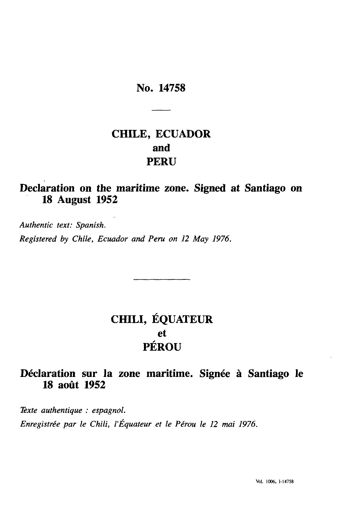### No. 14758

## **CHILE, ECUADOR and PERU**

## **Declaration on the maritime zone. Signed at Santiago on 18 August 1952**

*Authentic text: Spanish. Registered by Chile, Ecuador and Peru on 12 May 1976.*

# **CHILI, EQUATEUR et PÉROU**

## **Déclaration sur la zone maritime. Signée à Santiago le 18 août 1952**

*Texte authentique : espagnol. Enregistrée par le Chili, l'Equateur et le Pérou le 12 mai 1976.*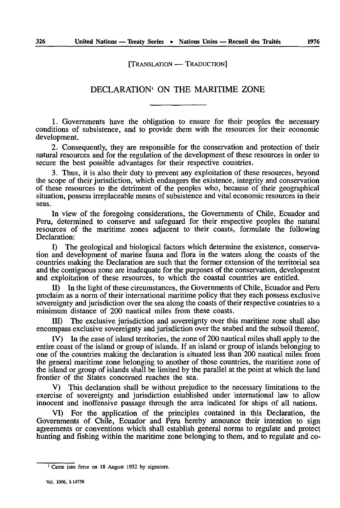[TRANSLATION — TRADUCTION]

#### DECLARATION<sup>1</sup> ON THE MARITIME ZONE

1. Governments have the obligation to ensure for their peoples the necessary conditions of subsistence, and to provide them with the resources for their economic development.

2. Consequently, they are responsible for the conservation and protection of their natural resources and for the regulation of the development of these resources in order to secure the best possible advantages for their respective countries.

3. Thus, it is also their duty to prevent any exploitation of these resources, beyond the scope of their jurisdiction, which endangers the existence, integrity and conservation of these resources to the detriment of the peoples who, because of their geographical situation, possess irreplaceable means of subsistence and vital economic resources in their seas.

In view of the foregoing considerations, the Governments of Chile, Ecuador and Peru, determined to conserve and safeguard for their respective peoples the natural resources of the maritime zones adjacent to their coasts, formulate the following Declaration:

I) The geological and biological factors which determine the existence, conserva tion and development of marine fauna and flora in the waters along the coasts of the countries making the Declaration are such that the former extension of the territorial sea and the contiguous zone are inadequate for the purposes of the conservation, development and exploitation of these resources, to which the coastal countries are entitled.

II) In the light of these circumstances, the Governments of Chile, Ecuador and Peru proclaim as a norm of their international maritime policy that they each possess exclusive sovereignty and jurisdiction over the sea along the coasts of their respective countries to a minimum distance of 200 nautical miles from these coasts.

III) The exclusive jurisdiction and sovereignty over this maritime zone shall also encompass exclusive sovereignty and jurisdiction over the seabed and the subsoil thereof.

IV) In the case of island territories, the zone of 200 nautical miles shall apply to the entire coast of the island or group of islands. If an island or group of islands belonging to one of the countries making the declaration is situated less than 200 nautical miles from the general maritime zone belonging to another of those countries, the maritime zone of the island or group of islands shall be limited by the parallel at the point at which the land frontier of the States concerned reaches the sea.

This declaration shall be without prejudice to the necessary limitations to the exercise of sovereignty and jurisdiction established under international law to allow innocent and inoffensive passage through the area indicated for ships of all nations.

VI) For the application of the principles contained in this Declaration, the Governments of Chile, Ecuador and Peru hereby announce their intention to sign agreements or conventions which shall establish general norms to regulate and protect hunting and fishing within the maritime zone belonging to them, and to regulate and co-

<sup>&</sup>lt;sup>1</sup> Came into force on 18 August 1952 by signature.